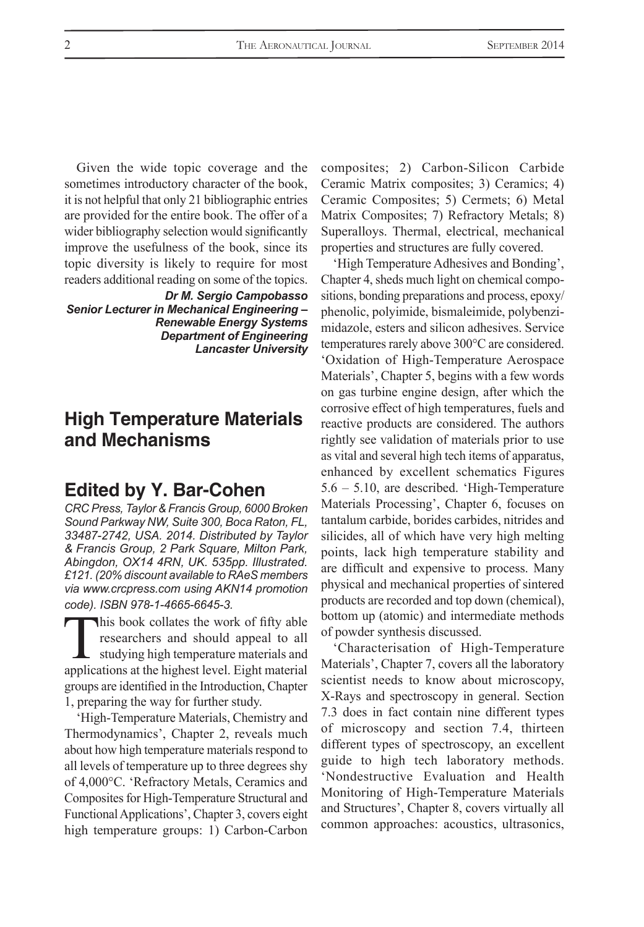Given the wide topic coverage and the sometimes introductory character of the book, it is not helpful that only 21 bibliographic entries are provided for the entire book. The offer of a wider bibliography selection would significantly improve the usefulness of the book, since its topic diversity is likely to require for most readers additional reading on some of the topics.

*Dr M. Sergio Campobasso Senior Lecturer in Mechanical Engineering – Renewable Energy Systems Department of Engineering Lancaster University*

## **High Temperature Materials and Mechanisms**

## **Edited by Y. Bar-Cohen**

*CRC Press, Taylor & Francis Group, 6000 Broken Sound Parkway NW, Suite 300, Boca Raton, FL, 33487-2742, USA. 2014. Distributed by Taylor & Francis Group, 2 Park Square, Milton Park, Abingdon, OX14 4RN, UK. 535pp. Illustrated. £121. (20% discount available to RAeS members via www.crcpress.com using AKN14 promotion code). ISBN 978-1-4665-6645-3.*

This book collates the work of fifty able researchers and should appeal to all studying high temperature materials and applications at the highest level. Eight material groups are identified in the Introduction, Chapter 1, preparing the way for further study.

'High-Temperature Materials, Chemistry and Thermodynamics', Chapter 2, reveals much about how high temperature materials respond to all levels of temperature up to three degrees shy of 4,000°C. 'Refractory Metals, Ceramics and Composites for High-Temperature Structural and Functional Applications', Chapter 3, covers eight high temperature groups: 1) Carbon-Carbon

composites; 2) Carbon-Silicon Carbide Ceramic Matrix composites; 3) Ceramics; 4) Ceramic Composites; 5) Cermets; 6) Metal Matrix Composites; 7) Refractory Metals; 8) Superalloys. Thermal, electrical, mechanical properties and structures are fully covered.

'High Temperature Adhesives and Bonding', Chapter 4, sheds much light on chemical compositions, bonding preparations and process, epoxy/ phenolic, polyimide, bismaleimide, polybenzimidazole, esters and silicon adhesives. Service temperatures rarely above 300°C are considered. 'Oxidation of High-Temperature Aerospace Materials', Chapter 5, begins with a few words on gas turbine engine design, after which the corrosive effect of high temperatures, fuels and reactive products are considered. The authors rightly see validation of materials prior to use as vital and several high tech items of apparatus, enhanced by excellent schematics Figures 5.6 – 5.10, are described. 'High-Temperature Materials Processing', Chapter 6, focuses on tantalum carbide, borides carbides, nitrides and silicides, all of which have very high melting points, lack high temperature stability and are difficult and expensive to process. Many physical and mechanical properties of sintered products are recorded and top down (chemical), bottom up (atomic) and intermediate methods of powder synthesis discussed.

'Characterisation of High-Temperature Materials', Chapter 7, covers all the laboratory scientist needs to know about microscopy, X-Rays and spectroscopy in general. Section 7.3 does in fact contain nine different types of microscopy and section 7.4, thirteen different types of spectroscopy, an excellent guide to high tech laboratory methods. 'Nondestructive Evaluation and Health Monitoring of High-Temperature Materials and Structures', Chapter 8, covers virtually all common approaches: acoustics, ultrasonics,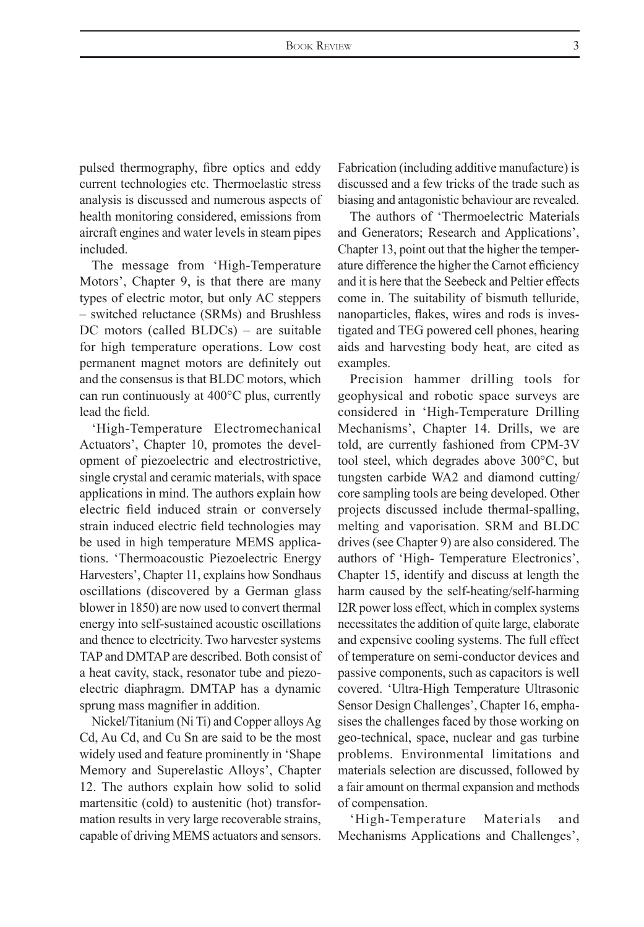pulsed thermography, fibre optics and eddy current technologies etc. Thermoelastic stress analysis is discussed and numerous aspects of health monitoring considered, emissions from aircraft engines and water levels in steam pipes included.

The message from 'High-Temperature Motors', Chapter 9, is that there are many types of electric motor, but only AC steppers – switched reluctance (SRMs) and Brushless DC motors (called BLDCs) – are suitable for high temperature operations. Low cost permanent magnet motors are definitely out and the consensus is that BLDC motors, which can run continuously at 400°C plus, currently lead the field.

'High-Temperature Electromechanical Actuators', Chapter 10, promotes the development of piezoelectric and electrostrictive, single crystal and ceramic materials, with space applications in mind. The authors explain how electric field induced strain or conversely strain induced electric field technologies may be used in high temperature MEMS applications. 'Thermoacoustic Piezoelectric Energy Harvesters', Chapter 11, explains how Sondhaus oscillations (discovered by a German glass blower in 1850) are now used to convert thermal energy into self-sustained acoustic oscillations and thence to electricity. Two harvester systems TAP and DMTAP are described. Both consist of a heat cavity, stack, resonator tube and piezoelectric diaphragm. DMTAP has a dynamic sprung mass magnifier in addition.

Nickel/Titanium (Ni Ti) and Copper alloys Ag Cd, Au Cd, and Cu Sn are said to be the most widely used and feature prominently in 'Shape Memory and Superelastic Alloys', Chapter 12. The authors explain how solid to solid martensitic (cold) to austenitic (hot) transformation results in very large recoverable strains, capable of driving MEMS actuators and sensors.

Fabrication (including additive manufacture) is discussed and a few tricks of the trade such as biasing and antagonistic behaviour are revealed.

The authors of 'Thermoelectric Materials and Generators; Research and Applications', Chapter 13, point out that the higher the temperature difference the higher the Carnot efficiency and it is here that the Seebeck and Peltier effects come in. The suitability of bismuth telluride, nanoparticles, flakes, wires and rods is investigated and TEG powered cell phones, hearing aids and harvesting body heat, are cited as examples.

Precision hammer drilling tools for geophysical and robotic space surveys are considered in 'High-Temperature Drilling Mechanisms', Chapter 14. Drills, we are told, are currently fashioned from CPM-3V tool steel, which degrades above 300°C, but tungsten carbide WA2 and diamond cutting/ core sampling tools are being developed. Other projects discussed include thermal-spalling, melting and vaporisation. SRM and BLDC drives (see Chapter 9) are also considered. The authors of 'High- Temperature Electronics', Chapter 15, identify and discuss at length the harm caused by the self-heating/self-harming I2R power loss effect, which in complex systems necessitates the addition of quite large, elaborate and expensive cooling systems. The full effect of temperature on semi-conductor devices and passive components, such as capacitors is well covered. 'Ultra-High Temperature Ultrasonic Sensor Design Challenges', Chapter 16, emphasises the challenges faced by those working on geo-technical, space, nuclear and gas turbine problems. Environmental limitations and materials selection are discussed, followed by a fair amount on thermal expansion and methods of compensation.

'High-Temperature Materials and Mechanisms Applications and Challenges',